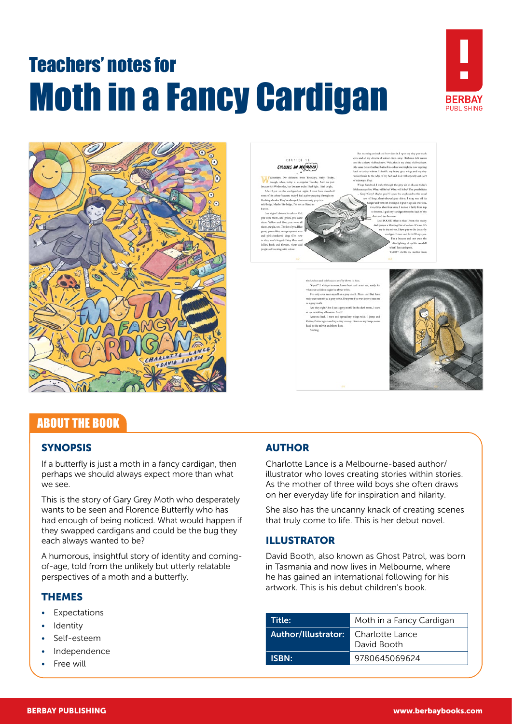# Teachers' notes for Moth in a Fancy Cardigan





#### **CEAPTER 18** COLOURS ON MY MIND

to said all my denume of colour drain away. Diabross falls and all my denume of colour drain away. Diabross falls<br>like a diasty old beddeet. Wait, that is my durty old because brain that had battled in colour oversight is

read my wings wide. I jump and



# ABOUT THE BOOK

# **SYNOPSIS**

If a butterfly is just a moth in a fancy cardigan, then perhaps we should always expect more than what we see.

This is the story of Gary Grey Moth who desperately wants to be seen and Florence Butterfly who has had enough of being noticed. What would happen if they swapped cardigans and could be the bug they each always wanted to be?

A humorous, insightful story of identity and comingof-age, told from the unlikely but utterly relatable perspectives of a moth and a butterfly.

#### THEMES

- **Expectations**
- **Identity**
- Self-esteem
- Independence
- Free will

# AUTHOR

Charlotte Lance is a Melbourne-based author/ illustrator who loves creating stories within stories. As the mother of three wild boys she often draws on her everyday life for inspiration and hilarity.

She also has the uncanny knack of creating scenes that truly come to life. This is her debut novel.

# ILLUSTRATOR

David Booth, also known as Ghost Patrol, was born in Tasmania and now lives in Melbourne, where he has gained an international following for his artwork. This is his debut children's book.

| Title:              | Moth in a Fancy Cardigan       |
|---------------------|--------------------------------|
| Author/Illustrator: | Charlotte Lance<br>David Booth |
| <b>ISBN:</b>        | 9780645069624                  |